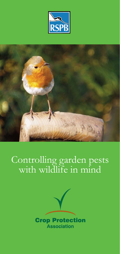



# Controlling garden pests with wildlife in mind

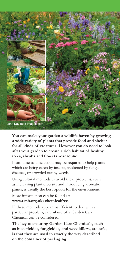

**You can make your garden a wildlife haven by growing a wide variety of plants that provide food and shelter for all kinds of creatures. However you do need to look after your garden to create a rich habitat of healthy trees, shrubs and flowers year round.**

From time to time action may be required to help plants which are being eaten by insects, weakened by fungal diseases, or crowded out by weeds.

Using cultural methods to avoid these problems, such as increasing plant diversity and introducing aromatic plants, is usually the best option for the environment.

More information can be found at: **www.rspb.org.uk/chemicalfree**.

If these methods appear insufficient to deal with a particular problem, careful use of a Garden Care Chemical can be considered.

**The key to ensuring Garden Care Chemicals, such as insecticides, fungicides, and weedkillers, are safe, is that they are used in exactly the way described on the container or packaging.**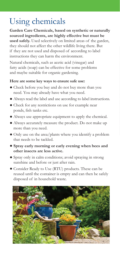### Using chemicals

**Garden Care Chemicals, based on synthetic or naturally sourced ingredients, are highly effective but must be used safely.** Used selectively on limited areas of the garden, they should not affect the other wildlife living there. But if they are not used and disposed of according to label instructions they can harm the environment.

Natural chemicals, such as acetic acid (vinegar) and fatty acids (soap) can be effective for some problems and maybe suitable for organic gardening.

#### **Here are some key ways to ensure safe use:**

- Check before you buy and do not buy more than you need. You may already have what you need.
- Always read the label and use according to label instructions.
- Check for any restrictions on use for example near ponds, fish tanks etc.
- Always use appropriate equipment to apply the chemical.
- Always accurately measure the product. Do not make up more than you need.
- Only use on the area/plants where you identify a problem that needs to be tackled.
- **Spray early morning or early evening when bees and other insects are less active.**
- Spray only in calm conditions; avoid spraying in strong sunshine and before or just after rain.
- Consider Ready to Use (RTU) products. These can be reused until the container is empty and can then be safely disposed of in household waste.

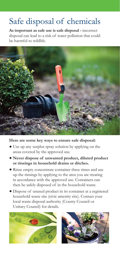## Safe disposal of chemicals

**As important as safe use is safe disposal -** incorrect disposal can lead to a risk of water pollution that could be harmful to wildlife.



### **Here are some key ways to ensure safe disposal:**

- Use up any surplus spray solution by applying on the areas covered by the approved use.
- **Never dispose of unwanted product, diluted product or rinsings in household drains or ditches.**
- Rinse empty concentrate container three times and use up the rinsings by applying to the area you are treating in accordance with the approved use. Containers can then be safely disposed of in the household waste.
- Dispose of unused product in its container at a registered household waste site (civic amenity site). Contact your local waste disposal authority (County Council or Unitary Council) for details.



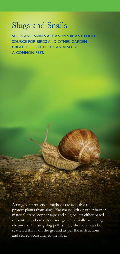### Slugs and Snails

SLUGS AND SNAILS ARE AN IMPORTANT FOOD SOURCE FOR BIRDS AND OTHER GARDEN CREATURES. BUT THEY CAN ALSO BE A COMMON PEST.

A range of protection methods are available to protect plants from slugs, like coarse grit or other barrier material, traps, copper tape and slug pellets either based on synthetic chemicals or inorganic naturally occurring chemicals. If using slug pellets, they should always be scattered thinly on the ground as per the instructions and stored according to the label.